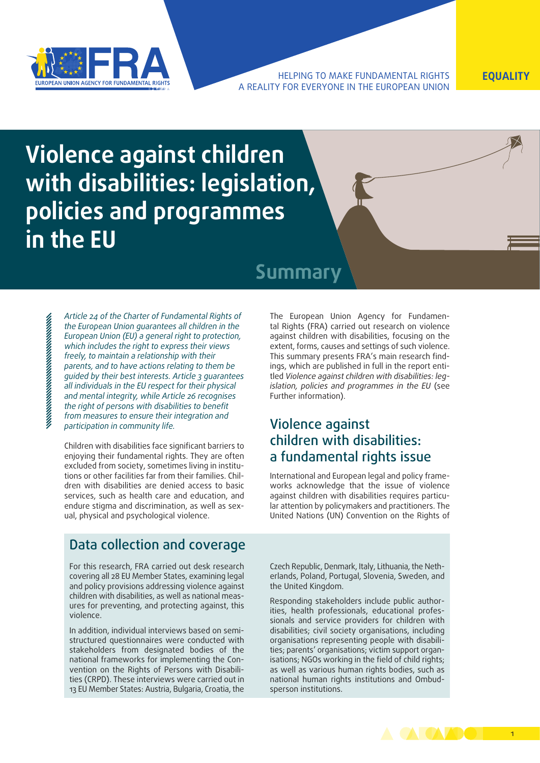

HELPING TO MAKE FUNDAMENTAL RIGHTS **EQUALITY** A REALITY FOR EVERYONE IN THE EUROPEAN UNION

# **Violence against children with disabilities: legislation, policies and programmes in the EU**

## **Summary**

*Article 24 of the Charter of Fundamental Rights of the European Union guarantees all children in the European Union (EU) a general right to protection, which includes the right to express their views freely, to maintain a relationship with their parents, and to have actions relating to them be guided by their best interests. Article 3 guarantees all individuals in the EU respect for their physical and mental integrity, while Article 26 recognises the right of persons with disabilities to benefit from measures to ensure their integration and participation in community life.*

Children with disabilities face significant barriers to enjoying their fundamental rights. They are often excluded from society, sometimes living in institutions or other facilities far from their families. Children with disabilities are denied access to basic services, such as health care and education, and endure stigma and discrimination, as well as sexual, physical and psychological violence.

### Data collection and coverage

For this research, FRA carried out desk research covering all 28 EU Member States, examining legal and policy provisions addressing violence against children with disabilities, as well as national measures for preventing, and protecting against, this violence.

In addition, individual interviews based on semistructured questionnaires were conducted with stakeholders from designated bodies of the national frameworks for implementing the Convention on the Rights of Persons with Disabilities (CRPD). These interviews were carried out in 13 EU Member States: Austria, Bulgaria, Croatia, the

The European Union Agency for Fundamental Rights (FRA) carried out research on violence against children with disabilities, focusing on the extent, forms, causes and settings of such violence. This summary presents FRA's main research findings, which are published in full in the report entitled *Violence against children with disabilities: legislation, policies and programmes in the EU* (see Further information).

### Violence against children with disabilities: a fundamental rights issue

International and European legal and policy frameworks acknowledge that the issue of violence against children with disabilities requires particular attention by policymakers and practitioners. The United Nations (UN) Convention on the Rights of

Czech Republic, Denmark, Italy, Lithuania, the Netherlands, Poland, Portugal, Slovenia, Sweden, and the United Kingdom.

Responding stakeholders include public authorities, health professionals, educational professionals and service providers for children with disabilities; civil society organisations, including organisations representing people with disabilities; parents' organisations; victim support organisations; NGOs working in the field of child rights; as well as various human rights bodies, such as national human rights institutions and Ombudsperson institutions.

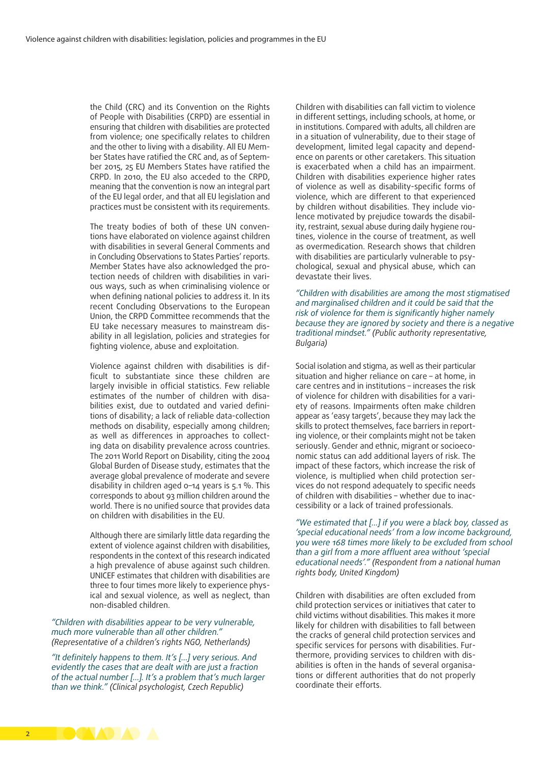the Child (CRC) and its Convention on the Rights of People with Disabilities (CRPD) are essential in ensuring that children with disabilities are protected from violence; one specifically relates to children and the other to living with a disability. All EU Member States have ratified the CRC and, as of September 2015, 25 EU Members States have ratified the CRPD. In 2010, the EU also acceded to the CRPD, meaning that the convention is now an integral part of the EU legal order, and that all EU legislation and practices must be consistent with its requirements.

The treaty bodies of both of these UN conventions have elaborated on violence against children with disabilities in several General Comments and in Concluding Observations to States Parties' reports. Member States have also acknowledged the protection needs of children with disabilities in various ways, such as when criminalising violence or when defining national policies to address it. In its recent Concluding Observations to the European Union, the CRPD Committee recommends that the EU take necessary measures to mainstream disability in all legislation, policies and strategies for fighting violence, abuse and exploitation.

Violence against children with disabilities is difficult to substantiate since these children are largely invisible in official statistics. Few reliable estimates of the number of children with disabilities exist, due to outdated and varied definitions of disability; a lack of reliable data-collection methods on disability, especially among children; as well as differences in approaches to collecting data on disability prevalence across countries. The 2011 World Report on Disability, citing the 2004 Global Burden of Disease study, estimates that the average global prevalence of moderate and severe disability in children aged 0–14 years is 5.1 %. This corresponds to about 93 million children around the world. There is no unified source that provides data on children with disabilities in the EU.

Although there are similarly little data regarding the extent of violence against children with disabilities, respondents in the context of this research indicated a high prevalence of abuse against such children. UNICEF estimates that children with disabilities are three to four times more likely to experience physical and sexual violence, as well as neglect, than non-disabled children.

*"Children with disabilities appear to be very vulnerable, much more vulnerable than all other children." (Representative of a children's rights NGO, Netherlands)*

*"It definitely happens to them. It's […] very serious. And evidently the cases that are dealt with are just a fraction of the actual number […]. It's a problem that's much larger than we think." (Clinical psychologist, Czech Republic)*

Children with disabilities can fall victim to violence in different settings, including schools, at home, or in institutions. Compared with adults, all children are in a situation of vulnerability, due to their stage of development, limited legal capacity and dependence on parents or other caretakers. This situation is exacerbated when a child has an impairment. Children with disabilities experience higher rates of violence as well as disability-specific forms of violence, which are different to that experienced by children without disabilities. They include violence motivated by prejudice towards the disability, restraint, sexual abuse during daily hygiene routines, violence in the course of treatment, as well as overmedication. Research shows that children with disabilities are particularly vulnerable to psychological, sexual and physical abuse, which can devastate their lives.

*"Children with disabilities are among the most stigmatised and marginalised children and it could be said that the risk of violence for them is significantly higher namely because they are ignored by society and there is a negative traditional mindset." (Public authority representative, Bulgaria)*

Social isolation and stigma, as well as their particular situation and higher reliance on care – at home, in care centres and in institutions – increases the risk of violence for children with disabilities for a variety of reasons. Impairments often make children appear as 'easy targets', because they may lack the skills to protect themselves, face barriers in reporting violence, or their complaints might not be taken seriously. Gender and ethnic, migrant or socioeconomic status can add additional layers of risk. The impact of these factors, which increase the risk of violence, is multiplied when child protection services do not respond adequately to specific needs of children with disabilities – whether due to inaccessibility or a lack of trained professionals.

*"We estimated that […] if you were a black boy, classed as 'special educational needs' from a low income background, you were 168 times more likely to be excluded from school than a girl from a more affluent area without 'special educational needs'." (Respondent from a national human rights body, United Kingdom)*

Children with disabilities are often excluded from child protection services or initiatives that cater to child victims without disabilities. This makes it more likely for children with disabilities to fall between the cracks of general child protection services and specific services for persons with disabilities. Furthermore, providing services to children with disabilities is often in the hands of several organisations or different authorities that do not properly coordinate their efforts.

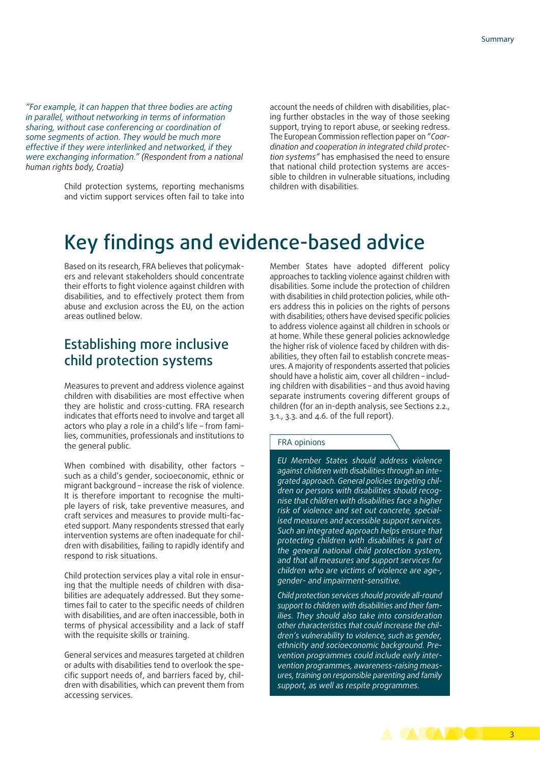*"For example, it can happen that three bodies are acting in parallel, without networking in terms of information sharing, without case conferencing or coordination of some segments of action. They would be much more effective if they were interlinked and networked, if they were exchanging information." (Respondent from a national human rights body, Croatia)*

> Child protection systems, reporting mechanisms and victim support services often fail to take into

account the needs of children with disabilities, placing further obstacles in the way of those seeking support, trying to report abuse, or seeking redress. The European Commission reflection paper on "*Coordination and cooperation in integrated child protection systems"* has emphasised the need to ensure that national child protection systems are accessible to children in vulnerable situations, including children with disabilities.

# Key findings and evidence-based advice

Based on its research, FRA believes that policymakers and relevant stakeholders should concentrate their efforts to fight violence against children with disabilities, and to effectively protect them from abuse and exclusion across the EU, on the action areas outlined below.

### Establishing more inclusive child protection systems

Measures to prevent and address violence against children with disabilities are most effective when they are holistic and cross-cutting. FRA research indicates that efforts need to involve and target all actors who play a role in a child's life – from families, communities, professionals and institutions to the general public.

When combined with disability, other factors such as a child's gender, socioeconomic, ethnic or migrant background – increase the risk of violence. It is therefore important to recognise the multiple layers of risk, take preventive measures, and craft services and measures to provide multi-faceted support. Many respondents stressed that early intervention systems are often inadequate for children with disabilities, failing to rapidly identify and respond to risk situations.

Child protection services play a vital role in ensuring that the multiple needs of children with disabilities are adequately addressed. But they sometimes fail to cater to the specific needs of children with disabilities, and are often inaccessible, both in terms of physical accessibility and a lack of staff with the requisite skills or training.

General services and measures targeted at children or adults with disabilities tend to overlook the specific support needs of, and barriers faced by, children with disabilities, which can prevent them from accessing services.

Member States have adopted different policy approaches to tackling violence against children with disabilities. Some include the protection of children with disabilities in child protection policies, while others address this in policies on the rights of persons with disabilities; others have devised specific policies to address violence against all children in schools or at home. While these general policies acknowledge the higher risk of violence faced by children with disabilities, they often fail to establish concrete measures. A majority of respondents asserted that policies should have a holistic aim, cover all children – including children with disabilities – and thus avoid having separate instruments covering different groups of children (for an in-depth analysis, see Sections 2.2., 3.1., 3.3. and 4.6. of the full report).

#### FRA opinions

*EU Member States should address violence against children with disabilities through an integrated approach. General policies targeting children or persons with disabilities should recognise that children with disabilities face a higher risk of violence and set out concrete, specialised measures and accessible support services. Such an integrated approach helps ensure that protecting children with disabilities is part of the general national child protection system, and that all measures and support services for children who are victims of violence are age-, gender- and impairment-sensitive.*

*Child protection services should provide all-round support to children with disabilities and their families. They should also take into consideration other characteristics that could increase the children's vulnerability to violence, such as gender, ethnicity and socioeconomic background. Prevention programmes could include early intervention programmes, awareness-raising measures, training on responsible parenting and family support, as well as respite programmes.*

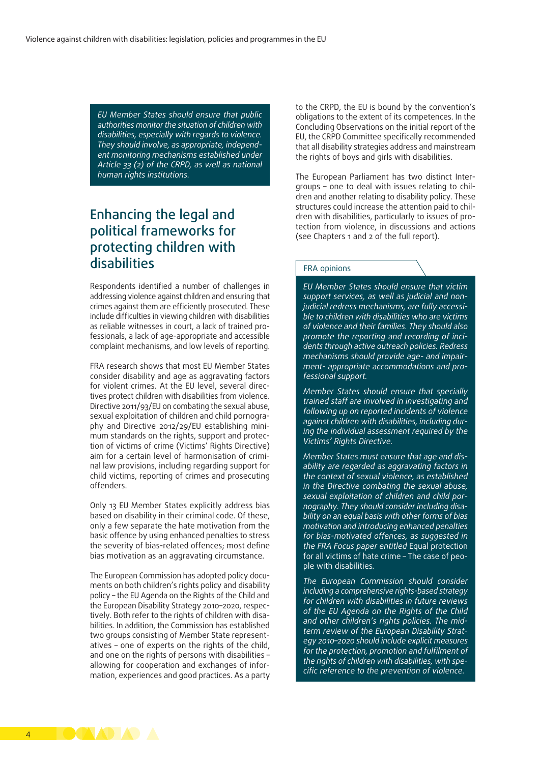*EU Member States should ensure that public authorities monitor the situation of children with disabilities, especially with regards to violence. They should involve, as appropriate, independent monitoring mechanisms established under Article 33 (2) of the CRPD, as well as national human rights institutions.*

### Enhancing the legal and political frameworks for protecting children with disabilities

Respondents identified a number of challenges in addressing violence against children and ensuring that crimes against them are efficiently prosecuted. These include difficulties in viewing children with disabilities as reliable witnesses in court, a lack of trained professionals, a lack of age-appropriate and accessible complaint mechanisms, and low levels of reporting.

FRA research shows that most EU Member States consider disability and age as aggravating factors for violent crimes. At the EU level, several directives protect children with disabilities from violence. Directive 2011/93/EU on combating the sexual abuse, sexual exploitation of children and child pornography and Directive 2012/29/EU establishing minimum standards on the rights, support and protection of victims of crime (Victims' Rights Directive) aim for a certain level of harmonisation of criminal law provisions, including regarding support for child victims, reporting of crimes and prosecuting offenders.

Only 13 EU Member States explicitly address bias based on disability in their criminal code. Of these, only a few separate the hate motivation from the basic offence by using enhanced penalties to stress the severity of bias-related offences; most define bias motivation as an aggravating circumstance.

The European Commission has adopted policy documents on both children's rights policy and disability policy – the EU Agenda on the Rights of the Child and the European Disability Strategy 2010–2020, respectively. Both refer to the rights of children with disabilities. In addition, the Commission has established two groups consisting of Member State representatives – one of experts on the rights of the child, and one on the rights of persons with disabilities – allowing for cooperation and exchanges of information, experiences and good practices. As a party to the CRPD, the EU is bound by the convention's obligations to the extent of its competences. In the Concluding Observations on the initial report of the EU, the CRPD Committee specifically recommended that all disability strategies address and mainstream the rights of boys and girls with disabilities.

The European Parliament has two distinct Intergroups – one to deal with issues relating to children and another relating to disability policy. These structures could increase the attention paid to children with disabilities, particularly to issues of protection from violence, in discussions and actions (see Chapters 1 and 2 of the full report).

#### FRA opinions

*EU Member States should ensure that victim support services, as well as judicial and nonjudicial redress mechanisms, are fully accessible to children with disabilities who are victims of violence and their families. They should also promote the reporting and recording of incidents through active outreach policies. Redress mechanisms should provide age- and impairment- appropriate accommodations and professional support.*

*Member States should ensure that specially trained staff are involved in investigating and following up on reported incidents of violence against children with disabilities, including during the individual assessment required by the Victims' Rights Directive.*

*Member States must ensure that age and disability are regarded as aggravating factors in the context of sexual violence, as established in the Directive combating the sexual abuse, sexual exploitation of children and child pornography. They should consider including disability on an equal basis with other forms of bias motivation and introducing enhanced penalties for bias-motivated offences, as suggested in the FRA Focus paper entitled* [Equal protection](http://fra.europa.eu/en/publication/2015/equal-protection-all-victims-hate-crime-case-people-disabilities)  [for all victims of hate crime – The case of peo](http://fra.europa.eu/en/publication/2015/equal-protection-all-victims-hate-crime-case-people-disabilities)[ple with disabilities](http://fra.europa.eu/en/publication/2015/equal-protection-all-victims-hate-crime-case-people-disabilities)*.*

*The European Commission should consider including a comprehensive rights-based strategy for children with disabilities in future reviews of the EU Agenda on the Rights of the Child and other children's rights policies. The midterm review of the European Disability Strategy 2010–2020 should include explicit measures for the protection, promotion and fulfilment of the rights of children with disabilities, with specific reference to the prevention of violence.*

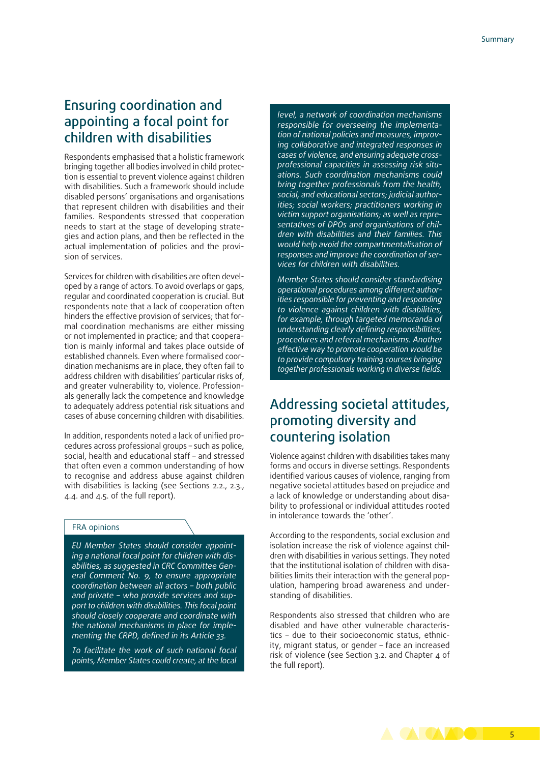### Ensuring coordination and appointing a focal point for children with disabilities

Respondents emphasised that a holistic framework bringing together all bodies involved in child protection is essential to prevent violence against children with disabilities. Such a framework should include disabled persons' organisations and organisations that represent children with disabilities and their families. Respondents stressed that cooperation needs to start at the stage of developing strategies and action plans, and then be reflected in the actual implementation of policies and the provision of services.

Services for children with disabilities are often developed by a range of actors. To avoid overlaps or gaps, regular and coordinated cooperation is crucial. But respondents note that a lack of cooperation often hinders the effective provision of services; that formal coordination mechanisms are either missing or not implemented in practice; and that cooperation is mainly informal and takes place outside of established channels. Even where formalised coordination mechanisms are in place, they often fail to address children with disabilities' particular risks of, and greater vulnerability to, violence. Professionals generally lack the competence and knowledge to adequately address potential risk situations and cases of abuse concerning children with disabilities.

In addition, respondents noted a lack of unified procedures across professional groups – such as police, social, health and educational staff – and stressed that often even a common understanding of how to recognise and address abuse against children with disabilities is lacking (see Sections 2.2., 2.3., 4.4. and 4.5. of the full report).

#### FRA opinions

*EU Member States should consider appointing a national focal point for children with disabilities, as suggested in CRC Committee General Comment No. 9, to ensure appropriate coordination between all actors – both public and private – who provide services and support to children with disabilities. This focal point should closely cooperate and coordinate with the national mechanisms in place for implementing the CRPD, defined in its Article 33.*

*To facilitate the work of such national focal points, Member States could create, at the local*

*level, a network of coordination mechanisms responsible for overseeing the implementation of national policies and measures, improving collaborative and integrated responses in cases of violence, and ensuring adequate crossprofessional capacities in assessing risk situations. Such coordination mechanisms could bring together professionals from the health, social, and educational sectors; judicial authorities; social workers; practitioners working in victim support organisations; as well as representatives of DPOs and organisations of children with disabilities and their families. This would help avoid the compartmentalisation of responses and improve the coordination of services for children with disabilities.*

*Member States should consider standardising operational procedures among different authorities responsible for preventing and responding to violence against children with disabilities, for example, through targeted memoranda of understanding clearly defining responsibilities, procedures and referral mechanisms. Another effective way to promote cooperation would be to provide compulsory training courses bringing together professionals working in diverse fields.*

### Addressing societal attitudes, promoting diversity and countering isolation

Violence against children with disabilities takes many forms and occurs in diverse settings. Respondents identified various causes of violence, ranging from negative societal attitudes based on prejudice and a lack of knowledge or understanding about disability to professional or individual attitudes rooted in intolerance towards the 'other'.

According to the respondents, social exclusion and isolation increase the risk of violence against children with disabilities in various settings. They noted that the institutional isolation of children with disabilities limits their interaction with the general population, hampering broad awareness and understanding of disabilities.

Respondents also stressed that children who are disabled and have other vulnerable characteristics – due to their socioeconomic status, ethnicity, migrant status, or gender – face an increased risk of violence (see Section 3.2. and Chapter 4 of the full report).

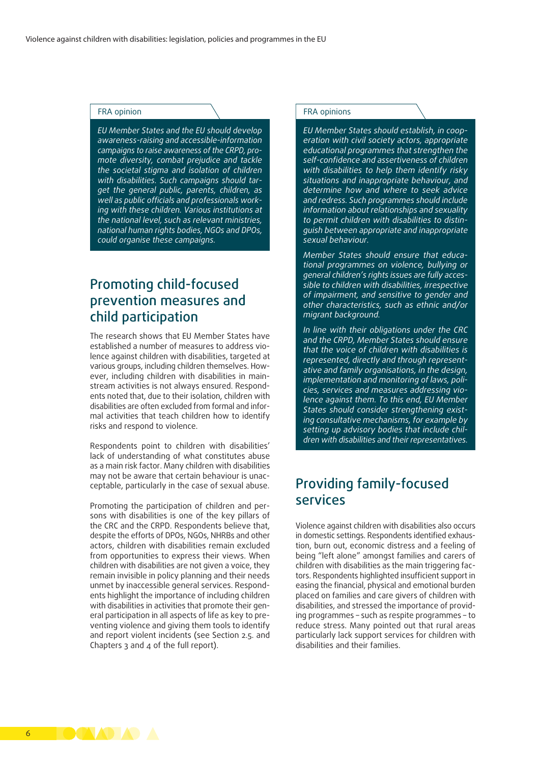#### FRA opinion

*EU Member States and the EU should develop awareness-raising and accessible-information campaigns to raise awareness of the CRPD, promote diversity, combat prejudice and tackle the societal stigma and isolation of children with disabilities. Such campaigns should target the general public, parents, children, as well as public officials and professionals working with these children. Various institutions at the national level, such as relevant ministries, national human rights bodies, NGOs and DPOs, could organise these campaigns.*

### Promoting child-focused prevention measures and child participation

The research shows that EU Member States have established a number of measures to address violence against children with disabilities, targeted at various groups, including children themselves. However, including children with disabilities in mainstream activities is not always ensured. Respondents noted that, due to their isolation, children with disabilities are often excluded from formal and informal activities that teach children how to identify risks and respond to violence.

Respondents point to children with disabilities' lack of understanding of what constitutes abuse as a main risk factor. Many children with disabilities may not be aware that certain behaviour is unacceptable, particularly in the case of sexual abuse.

Promoting the participation of children and persons with disabilities is one of the key pillars of the CRC and the CRPD. Respondents believe that, despite the efforts of DPOs, NGOs, NHRBs and other actors, children with disabilities remain excluded from opportunities to express their views. When children with disabilities are not given a voice, they remain invisible in policy planning and their needs unmet by inaccessible general services. Respondents highlight the importance of including children with disabilities in activities that promote their general participation in all aspects of life as key to preventing violence and giving them tools to identify and report violent incidents (see Section 2.5. and Chapters 3 and 4 of the full report).

#### FRA opinions

*EU Member States should establish, in cooperation with civil society actors, appropriate educational programmes that strengthen the self-confidence and assertiveness of children with disabilities to help them identify risky situations and inappropriate behaviour, and determine how and where to seek advice and redress. Such programmes should include information about relationships and sexuality to permit children with disabilities to distinguish between appropriate and inappropriate sexual behaviour.*

*Member States should ensure that educational programmes on violence, bullying or general children's rights issues are fully accessible to children with disabilities, irrespective of impairment, and sensitive to gender and other characteristics, such as ethnic and/or migrant background.*

*In line with their obligations under the CRC and the CRPD, Member States should ensure that the voice of children with disabilities is represented, directly and through representative and family organisations, in the design, implementation and monitoring of laws, policies, services and measures addressing violence against them. To this end, EU Member States should consider strengthening existing consultative mechanisms, for example by setting up advisory bodies that include children with disabilities and their representatives.*

### Providing family-focused services

Violence against children with disabilities also occurs in domestic settings. Respondents identified exhaustion, burn out, economic distress and a feeling of being "left alone" amongst families and carers of children with disabilities as the main triggering factors. Respondents highlighted insufficient support in easing the financial, physical and emotional burden placed on families and care givers of children with disabilities, and stressed the importance of providing programmes – such as respite programmes – to reduce stress. Many pointed out that rural areas particularly lack support services for children with disabilities and their families.

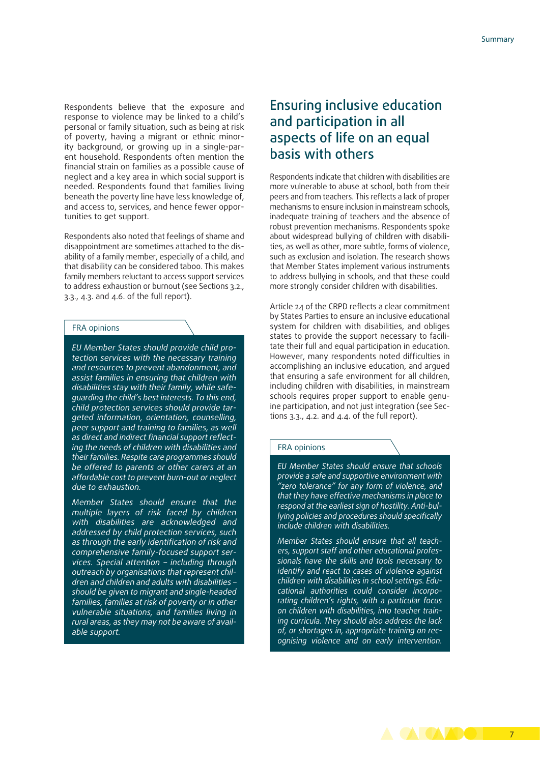Respondents believe that the exposure and response to violence may be linked to a child's personal or family situation, such as being at risk of poverty, having a migrant or ethnic minority background, or growing up in a single-parent household. Respondents often mention the financial strain on families as a possible cause of neglect and a key area in which social support is needed. Respondents found that families living beneath the poverty line have less knowledge of, and access to, services, and hence fewer opportunities to get support.

Respondents also noted that feelings of shame and disappointment are sometimes attached to the disability of a family member, especially of a child, and that disability can be considered taboo. This makes family members reluctant to access support services to address exhaustion or burnout (see Sections 3.2., 3.3., 4.3. and 4.6. of the full report).

#### FRA opinions

*EU Member States should provide child protection services with the necessary training and resources to prevent abandonment, and assist families in ensuring that children with disabilities stay with their family, while safeguarding the child's best interests. To this end, child protection services should provide targeted information, orientation, counselling, peer support and training to families, as well as direct and indirect financial support reflecting the needs of children with disabilities and their families. Respite care programmes should be offered to parents or other carers at an affordable cost to prevent burn-out or neglect due to exhaustion.*

*Member States should ensure that the multiple layers of risk faced by children with disabilities are acknowledged and addressed by child protection services, such as through the early identification of risk and comprehensive family-focused support services. Special attention – including through outreach by organisations that represent children and children and adults with disabilities – should be given to migrant and single-headed families, families at risk of poverty or in other vulnerable situations, and families living in rural areas, as they may not be aware of available support.*

### Ensuring inclusive education and participation in all aspects of life on an equal basis with others

Respondents indicate that children with disabilities are more vulnerable to abuse at school, both from their peers and from teachers. This reflects a lack of proper mechanisms to ensure inclusion in mainstream schools, inadequate training of teachers and the absence of robust prevention mechanisms. Respondents spoke about widespread bullying of children with disabilities, as well as other, more subtle, forms of violence, such as exclusion and isolation. The research shows that Member States implement various instruments to address bullying in schools, and that these could more strongly consider children with disabilities.

Article 24 of the CRPD reflects a clear commitment by States Parties to ensure an inclusive educational system for children with disabilities, and obliges states to provide the support necessary to facilitate their full and equal participation in education. However, many respondents noted difficulties in accomplishing an inclusive education, and argued that ensuring a safe environment for all children, including children with disabilities, in mainstream schools requires proper support to enable genuine participation, and not just integration (see Sections  $3.3.$ ,  $4.2.$  and  $4.4.$  of the full report).

#### FRA opinions

*EU Member States should ensure that schools provide a safe and supportive environment with "zero tolerance" for any form of violence, and that they have effective mechanisms in place to respond at the earliest sign of hostility. Anti-bullying policies and procedures should specifically include children with disabilities.*

*Member States should ensure that all teachers, support staff and other educational professionals have the skills and tools necessary to identify and react to cases of violence against children with disabilities in school settings. Educational authorities could consider incorporating children's rights, with a particular focus on children with disabilities, into teacher training curricula. They should also address the lack of, or shortages in, appropriate training on recognising violence and on early intervention.*

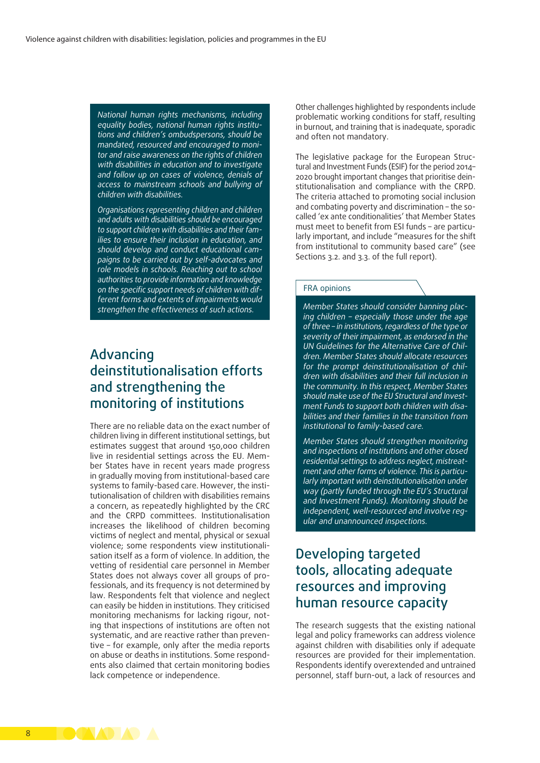*National human rights mechanisms, including equality bodies, national human rights institutions and children's ombudspersons, should be mandated, resourced and encouraged to monitor and raise awareness on the rights of children with disabilities in education and to investigate and follow up on cases of violence, denials of access to mainstream schools and bullying of children with disabilities.*

*Organisations representing children and children and adults with disabilities should be encouraged to support children with disabilities and their families to ensure their inclusion in education, and should develop and conduct educational campaigns to be carried out by self-advocates and role models in schools. Reaching out to school authorities to provide information and knowledge on the specific support needs of children with different forms and extents of impairments would strengthen the effectiveness of such actions.*

### Advancing deinstitutionalisation efforts and strengthening the monitoring of institutions

There are no reliable data on the exact number of children living in different institutional settings, but estimates suggest that around 150,000 children live in residential settings across the EU. Member States have in recent years made progress in gradually moving from institutional-based care systems to family-based care. However, the institutionalisation of children with disabilities remains a concern, as repeatedly highlighted by the CRC and the CRPD committees. Institutionalisation increases the likelihood of children becoming victims of neglect and mental, physical or sexual violence; some respondents view institutionalisation itself as a form of violence. In addition, the vetting of residential care personnel in Member States does not always cover all groups of professionals, and its frequency is not determined by law. Respondents felt that violence and neglect can easily be hidden in institutions. They criticised monitoring mechanisms for lacking rigour, noting that inspections of institutions are often not systematic, and are reactive rather than preventive – for example, only after the media reports on abuse or deaths in institutions. Some respondents also claimed that certain monitoring bodies lack competence or independence.

Other challenges highlighted by respondents include problematic working conditions for staff, resulting in burnout, and training that is inadequate, sporadic and often not mandatory.

The legislative package for the European Structural and Investment Funds (ESIF) for the period 2014– 2020 brought important changes that prioritise deinstitutionalisation and compliance with the CRPD. The criteria attached to promoting social inclusion and combating poverty and discrimination – the socalled 'ex ante conditionalities' that Member States must meet to benefit from ESI funds – are particularly important, and include "measures for the shift from institutional to community based care" (see Sections 3.2. and 3.3. of the full report).

#### FRA opinions

*Member States should consider banning placing children – especially those under the age of three – in institutions, regardless of the type or severity of their impairment, as endorsed in the UN Guidelines for the Alternative Care of Children. Member States should allocate resources for the prompt deinstitutionalisation of children with disabilities and their full inclusion in the community. In this respect, Member States should make use of the EU Structural and Investment Funds to support both children with disabilities and their families in the transition from institutional to family-based care.*

*Member States should strengthen monitoring and inspections of institutions and other closed residential settings to address neglect, mistreatment and other forms of violence. This is particularly important with deinstitutionalisation under way (partly funded through the EU's Structural and Investment Funds). Monitoring should be independent, well-resourced and involve regular and unannounced inspections.*

### Developing targeted tools, allocating adequate resources and improving human resource capacity

The research suggests that the existing national legal and policy frameworks can address violence against children with disabilities only if adequate resources are provided for their implementation. Respondents identify overextended and untrained personnel, staff burn-out, a lack of resources and

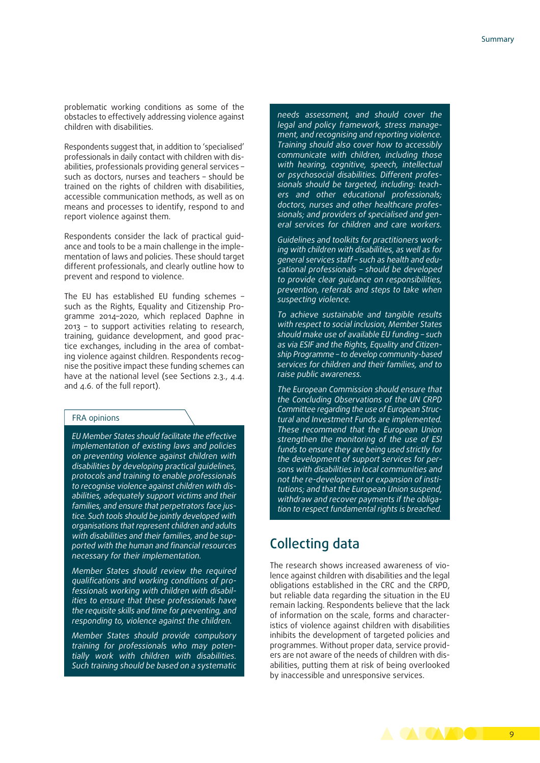problematic working conditions as some of the obstacles to effectively addressing violence against children with disabilities.

Respondents suggest that, in addition to 'specialised' professionals in daily contact with children with disabilities, professionals providing general services – such as doctors, nurses and teachers – should be trained on the rights of children with disabilities, accessible communication methods, as well as on means and processes to identify, respond to and report violence against them.

Respondents consider the lack of practical guidance and tools to be a main challenge in the implementation of laws and policies. These should target different professionals, and clearly outline how to prevent and respond to violence.

The EU has established EU funding schemes – such as the Rights, Equality and Citizenship Programme 2014–2020, which replaced Daphne in 2013 – to support activities relating to research, training, guidance development, and good practice exchanges, including in the area of combating violence against children. Respondents recognise the positive impact these funding schemes can have at the national level (see Sections 2.3., 4.4. and 4.6. of the full report).

#### FRA opinions

*EU Member States should facilitate the effective implementation of existing laws and policies on preventing violence against children with disabilities by developing practical guidelines, protocols and training to enable professionals to recognise violence against children with disabilities, adequately support victims and their families, and ensure that perpetrators face justice. Such tools should be jointly developed with organisations that represent children and adults with disabilities and their families, and be supported with the human and financial resources necessary for their implementation.*

*Member States should review the required qualifications and working conditions of professionals working with children with disabilities to ensure that these professionals have the requisite skills and time for preventing, and responding to, violence against the children.*

*Member States should provide compulsory training for professionals who may potentially work with children with disabilities. Such training should be based on a systematic* *needs assessment, and should cover the legal and policy framework, stress management, and recognising and reporting violence. Training should also cover how to accessibly communicate with children, including those with hearing, cognitive, speech, intellectual or psychosocial disabilities. Different professionals should be targeted, including: teachers and other educational professionals; doctors, nurses and other healthcare professionals; and providers of specialised and general services for children and care workers.*

*Guidelines and toolkits for practitioners working with children with disabilities, as well as for general services staff – such as health and educational professionals – should be developed to provide clear guidance on responsibilities, prevention, referrals and steps to take when suspecting violence.*

*To achieve sustainable and tangible results with respect to social inclusion, Member States should make use of available EU funding – such as via ESIF and the Rights, Equality and Citizenship Programme – to develop community-based services for children and their families, and to raise public awareness.*

*The European Commission should ensure that the Concluding Observations of the UN CRPD Committee regarding the use of European Structural and Investment Funds are implemented. These recommend that the European Union strengthen the monitoring of the use of ESI funds to ensure they are being used strictly for the development of support services for persons with disabilities in local communities and not the re-development or expansion of institutions; and that the European Union suspend, withdraw and recover payments if the obligation to respect fundamental rights is breached.*

### Collecting data

The research shows increased awareness of violence against children with disabilities and the legal obligations established in the CRC and the CRPD, but reliable data regarding the situation in the EU remain lacking. Respondents believe that the lack of information on the scale, forms and characteristics of violence against children with disabilities inhibits the development of targeted policies and programmes. Without proper data, service providers are not aware of the needs of children with disabilities, putting them at risk of being overlooked by inaccessible and unresponsive services.

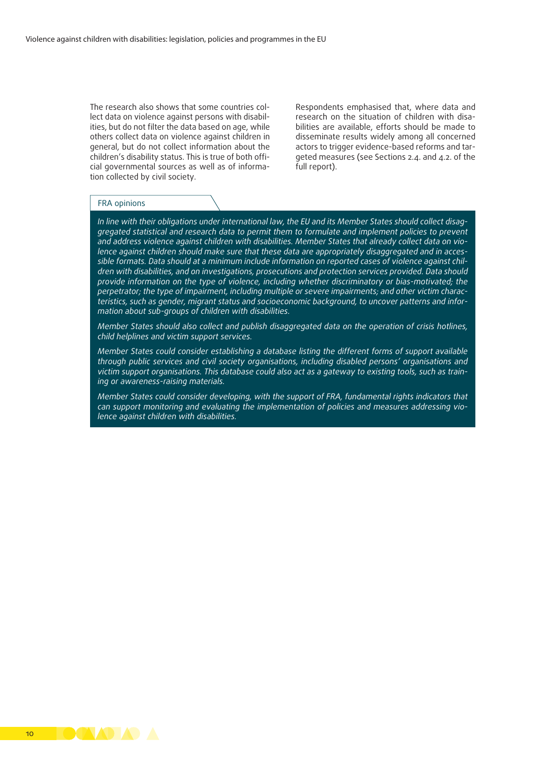The research also shows that some countries collect data on violence against persons with disabilities, but do not filter the data based on age, while others collect data on violence against children in general, but do not collect information about the children's disability status. This is true of both official governmental sources as well as of information collected by civil society.

Respondents emphasised that, where data and research on the situation of children with disabilities are available, efforts should be made to disseminate results widely among all concerned actors to trigger evidence-based reforms and targeted measures (see Sections 2.4. and 4.2. of the full report).

#### FRA opinions

*In line with their obligations under international law, the EU and its Member States should collect disaggregated statistical and research data to permit them to formulate and implement policies to prevent and address violence against children with disabilities. Member States that already collect data on violence against children should make sure that these data are appropriately disaggregated and in accessible formats. Data should at a minimum include information on reported cases of violence against children with disabilities, and on investigations, prosecutions and protection services provided. Data should provide information on the type of violence, including whether discriminatory or bias-motivated; the perpetrator; the type of impairment, including multiple or severe impairments; and other victim characteristics, such as gender, migrant status and socioeconomic background, to uncover patterns and information about sub-groups of children with disabilities.*

*Member States should also collect and publish disaggregated data on the operation of crisis hotlines, child helplines and victim support services.*

*Member States could consider establishing a database listing the different forms of support available through public services and civil society organisations, including disabled persons' organisations and victim support organisations. This database could also act as a gateway to existing tools, such as training or awareness-raising materials.*

*Member States could consider developing, with the support of FRA, fundamental rights indicators that can support monitoring and evaluating the implementation of policies and measures addressing violence against children with disabilities.*